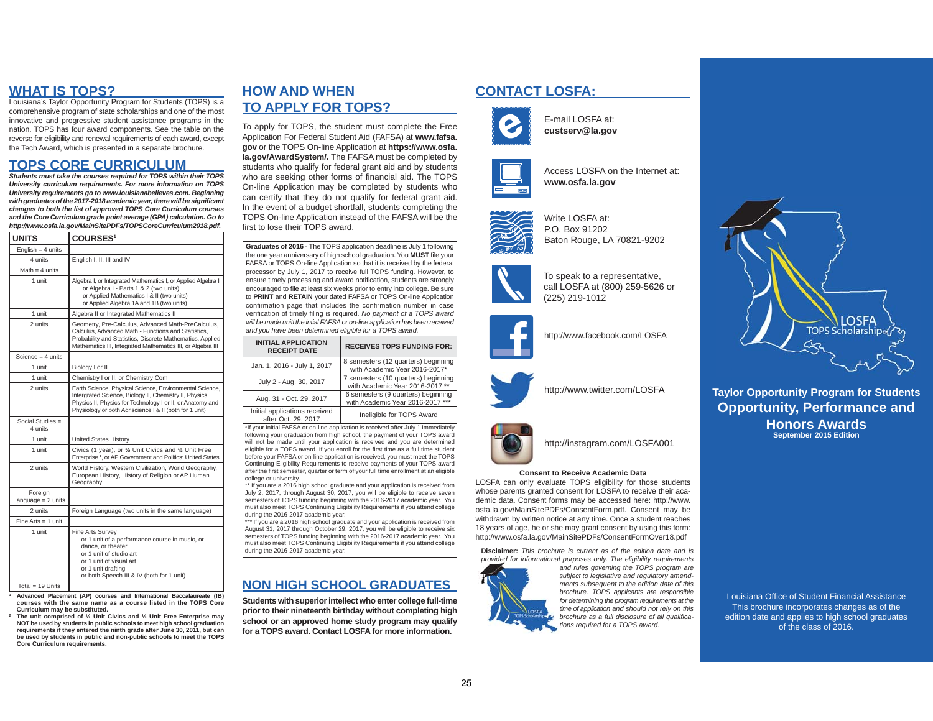### **WHAT IS TOPS?**

 Louisiana's Taylor Opportunity Program for Students (TOPS) is a comprehensive program of state scholarships and one of the most innovative and progressive student assistance programs in the nation. TOPS has four award components. See the table on the reverse for eligibility and renewal requirements of each award, except the Tech Award, which is presented in a separate brochure.

### **TOPS CORE CURRICULUM**

 *Students must take the courses required for TOPS within their TOPS University curriculum requirements. For more information on TOPS University requirements go to www.louisianabelieves.com. Beginning*  with graduates of the 2017-2018 academic year, there will be significant *changes to both the list of approved TOPS Core Curriculum courses and the Core Curriculum grade point average (GPA) calculation. Go to http://www.osfa.la.gov/MainSitePDFs/TOPSCoreCurriculum2018.pdf.*

| <b>UNITS</b>                    | <b>COURSES1</b>                                                                                                                                                                                                                             |  |  |
|---------------------------------|---------------------------------------------------------------------------------------------------------------------------------------------------------------------------------------------------------------------------------------------|--|--|
| English = $4$ units             |                                                                                                                                                                                                                                             |  |  |
| 4 units                         | English I, II, III and IV                                                                                                                                                                                                                   |  |  |
| Math $=$ 4 units                |                                                                                                                                                                                                                                             |  |  |
| 1 unit                          | Algebra I, or Integrated Mathematics I, or Applied Algebra I<br>or Algebra I - Parts 1 & 2 (two units)<br>or Applied Mathematics I & II (two units)<br>or Applied Algebra 1A and 1B (two units)                                             |  |  |
| 1 unit                          | Algebra II or Integrated Mathematics II                                                                                                                                                                                                     |  |  |
| 2 units                         | Geometry, Pre-Calculus, Advanced Math-PreCalculus,<br>Calculus, Advanced Math - Functions and Statistics.<br>Probability and Statistics, Discrete Mathematics, Applied<br>Mathematics III, Integrated Mathematics III, or Algebra III       |  |  |
| Science = $4 \text{ units}$     |                                                                                                                                                                                                                                             |  |  |
| 1 unit                          | Biology I or II                                                                                                                                                                                                                             |  |  |
| 1 unit                          | Chemistry I or II, or Chemistry Com                                                                                                                                                                                                         |  |  |
| 2 units                         | Earth Science, Physical Science, Environmental Science,<br>Intergrated Science, Biology II, Chemistry II, Physics,<br>Physics II, Physics for Technology I or II, or Anatomy and<br>Physiology or both Agriscience I & II (both for 1 unit) |  |  |
| Social Studies $=$<br>4 units   |                                                                                                                                                                                                                                             |  |  |
| 1 unit                          | <b>United States History</b>                                                                                                                                                                                                                |  |  |
| 1 unit                          | Civics (1 year), or 1/2 Unit Civics and 1/2 Unit Free<br>Enterprise <sup>2</sup> , or AP Government and Politics: United States                                                                                                             |  |  |
| 2 units                         | World History, Western Civilization, World Geography,<br>European History, History of Religion or AP Human<br>Geography                                                                                                                     |  |  |
| Foreign<br>Language = $2$ units |                                                                                                                                                                                                                                             |  |  |
| 2 units                         | Foreign Language (two units in the same language)                                                                                                                                                                                           |  |  |
| Fine Arts $=$ 1 unit            |                                                                                                                                                                                                                                             |  |  |
| 1 unit                          | Fine Arts Survey<br>or 1 unit of a performance course in music, or<br>dance, or theater<br>or 1 unit of studio art<br>or 1 unit of visual art<br>or 1 unit drafting<br>or both Speech III & IV (both for 1 unit)                            |  |  |
| Total = 19 Units                |                                                                                                                                                                                                                                             |  |  |

- **1 Advanced Placement (AP) courses and International Baccalaureate (IB) courses with the same name as a course listed in the TOPS Core Curriculum may be substituted.**
- **2 The unit comprised of ½ Unit Civics and ½ Unit Free Enterprise may NOT be used by students in public schools to meet high school graduation requirements if they entered the ninth grade after June 30, 2011, but can be used by students in public and non-public schools to meet the TOPS Core Curriculum requirements.**

# **HOW AND WHEN CONTACT LOSFA:TO APPLY FOR TOPS?**

To apply for TOPS, the student must complete the Free Application For Federal Student Aid (FAFSA) at **www.fafsa. gov** or the TOPS On-line Application at **https://www.osfa. la.gov/AwardSystem/.** The FAFSA must be completed by students who qualify for federal grant aid and by students who are seeking other forms of financial aid. The TOPS On-line Application may be completed by students who can certify that they do not qualify for federal grant aid. In the event of a budget shortfall, students completing the TOPS On-line Application instead of the FAFSA will be the first to lose their TOPS award.

**Graduates of 2016** - The TOPS application deadline is July 1 following the one year anniversary of high school graduation. You **MUST** file your FAFSA or TOPS On-line Application so that it is received by the federal processor by July 1, 2017 to receive full TOPS funding. However, to ensure timely processing and award notification, students are strongly encouraged to file at least six weeks prior to entry into college. Be sure to **PRINT** and **RETAIN** your dated FAFSA or TOPS On-line Application confirmation page that includes the confirmation number in case verification of timely filing is required. *No payment of a TOPS award* will be made unitl the intial FAFSA or on-line application has been received *and you have been determined eligible for a TOPS award.*

| <b>INITIAL APPLICATION</b><br><b>RECEIPT DATE</b>                                 | <b>RECEIVES TOPS FUNDING FOR:</b>                                      |  |
|-----------------------------------------------------------------------------------|------------------------------------------------------------------------|--|
| Jan. 1, 2016 - July 1, 2017                                                       | 8 semesters (12 quarters) beginning<br>with Academic Year 2016-2017*   |  |
| July 2 - Aug. 30, 2017                                                            | 7 semesters (10 quarters) beginning<br>with Academic Year 2016-2017 ** |  |
| Aug. 31 - Oct. 29, 2017                                                           | 6 semesters (9 quarters) beginning<br>with Academic Year 2016-2017 *** |  |
| Initial applications received<br>$\sim$ $\sim$ $\sim$ $\sim$ $\sim$ $\sim$ $\sim$ | Ineligible for TOPS Award                                              |  |

after Oct. 29, 2017 \*If your initial FAFSA or on-line application is received after July 1 immediately following your graduation from high school, the payment of your TOPS award will not be made until your application is received and you are determined eligible for a TOPS award. If you enroll for the first time as a full time student before your FAFSA or on-line application is received, you must meet the TOPS Continuing Eligibility Requirements to receive payments of your TOPS award after the first semester, quarter or term of your full time enrollment at an eligible college or university.

\*\* If you are a 2016 high school graduate and your application is received from July 2, 2017, through August 30, 2017, you will be eligible to receive seven semesters of TOPS funding beginning with the 2016-2017 academic year. You must also meet TOPS Continuing Eligibility Requirements if you attend college during the 2016-2017 academic year.

\*\*\* If you are a 2016 high school graduate and your application is received from August 31, 2017 through October 29, 2017, you will be eligible to receive six semesters of TOPS funding beginning with the 2016-2017 academic year. You must also meet TOPS Continuing Eligibility Requirements if you attend college during the 2016-2017 academic vear.

# **NON HIGH SCHOOL GRADUATES**

**Students with superior intellect who enter college full-time prior to their nineteenth birthday without completing high school or an approved home study program may qualify for a TOPS award. Contact LOSFA for more information.**



E-mail LOSFA at:**custserv@la.gov**







Write LOSFA at: P.O. Box 91202Baton Rouge, LA 70821-9202



To speak to a representative, call LOSFA at (800) 259-5626 or (225) 219-1012



http://www.facebook.com/LOSFA



http://www.twitter.com/LOSFA



http://instagram.com/LOSFA001

### **Consent to Receive Academic Data**

 LOSFA can only evaluate TOPS eligibility for those students whose parents granted consent for LOSFA to receive their academic data. Consent forms may be accessed here: http://www. osfa.la.gov/MainSitePDFs/ConsentForm.pdf. Consent may be withdrawn by written notice at any time. Once a student reaches 18 years of age, he or she may grant consent by using this form: http://www.osfa.la.gov/MainSitePDFs/ConsentFormOver18.pdf

**Disclaimer:** *This brochure is current as of the edition date and is provided for informational purposes only. The eligibility requirements provided <sup>o</sup> <sup>o</sup> at <sup>o</sup> al*



*and rules governing the TOPS program are subject to legislative and regulatory amendments subsequent to the edition date of this brochure. TOPS applicants are responsible for determining the program requirements at the time of application and should not rely on this*  brochure as a full disclosure of all qualifica*tions required for a TOPS award.*



**Taylor Opportunity Program for Students Opportunity, Performance and Honors AwardsSeptember 2015 Edition**

Louisiana Office of Student Financial Assistance This brochure incorporates changes as of the edition date and applies to high school graduates of the class of 2016.